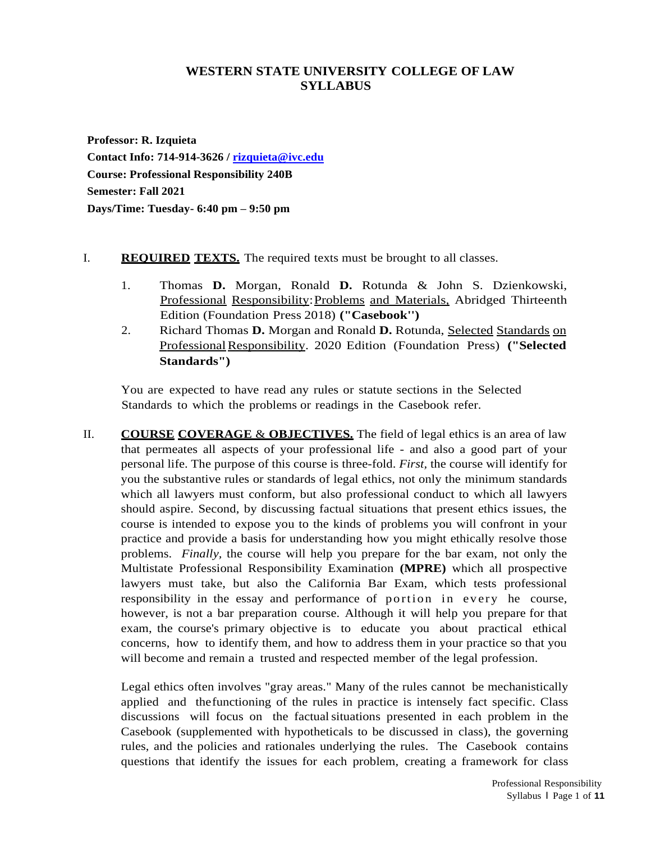# **WESTERN STATE UNIVERSITY COLLEGE OF LAW SYLLABUS**

**Professor: R. Izquieta Contact Info: 714-914-3626 / [rizquieta@ivc.edu](mailto:rizquieta@ivc.edu) Course: Professional Responsibility 240B Semester: Fall 2021 Days/Time: Tuesday- 6:40 pm – 9:50 pm**

# I. **REQUIRED TEXTS.** The required texts must be brought to all classes.

- 1. Thomas **D.** Morgan, Ronald **D.** Rotunda & John S. Dzienkowski, Professional Responsibility:Problems and Materials, Abridged Thirteenth Edition (Foundation Press 2018) **("Casebook'')**
- 2. Richard Thomas **D.** Morgan and Ronald **D.** Rotunda, Selected Standards on ProfessionalResponsibility. 2020 Edition (Foundation Press) **("Selected Standards")**

You are expected to have read any rules or statute sections in the Selected Standards to which the problems or readings in the Casebook refer.

II. **COURSE COVERAGE** & **OBJECTIVES.** The field of legal ethics is an area of law that permeates all aspects of your professional life - and also a good part of your personal life. The purpose of this course is three-fold. *First,* the course will identify for you the substantive rules or standards of legal ethics, not only the minimum standards which all lawyers must conform, but also professional conduct to which all lawyers should aspire. Second, by discussing factual situations that present ethics issues, the course is intended to expose you to the kinds of problems you will confront in your practice and provide a basis for understanding how you might ethically resolve those problems. *Finally,* the course will help you prepare for the bar exam, not only the Multistate Professional Responsibility Examination **(MPRE)** which all prospective lawyers must take, but also the California Bar Exam, which tests professional responsibility in the essay and performance of portion in every he course, however, is not a bar preparation course. Although it will help you prepare for that exam, the course's primary objective is to educate you about practical ethical concerns, how to identify them, and how to address them in your practice so that you will become and remain a trusted and respected member of the legal profession.

Legal ethics often involves "gray areas." Many of the rules cannot be mechanistically applied and thefunctioning of the rules in practice is intensely fact specific. Class discussions will focus on the factualsituations presented in each problem in the Casebook (supplemented with hypotheticals to be discussed in class), the governing rules, and the policies and rationales underlying the rules. The Casebook contains questions that identify the issues for each problem, creating a framework for class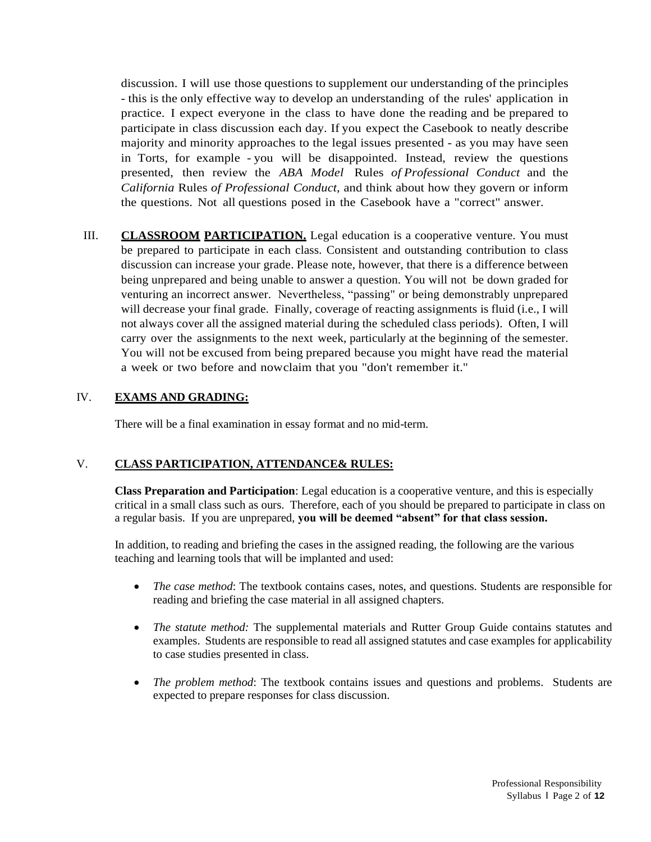discussion. I will use those questions to supplement our understanding of the principles - this is the only effective way to develop an understanding of the rules' application in practice. I expect everyone in the class to have done the reading and be prepared to participate in class discussion each day. If you expect the Casebook to neatly describe majority and minority approaches to the legal issues presented - as you may have seen in Torts, for example - you will be disappointed. Instead, review the questions presented, then review the *ABA Model* Rules *of Professional Conduct* and the *California* Rules *of Professional Conduct,* and think about how they govern or inform the questions. Not all questions posed in the Casebook have a "correct" answer.

III. **CLASSROOM PARTICIPATION.** Legal education is a cooperative venture. You must be prepared to participate in each class. Consistent and outstanding contribution to class discussion can increase your grade. Please note, however, that there is a difference between being unprepared and being unable to answer a question. You will not be down graded for venturing an incorrect answer. Nevertheless, "passing" or being demonstrably unprepared will decrease your final grade. Finally, coverage of reacting assignments is fluid (i.e., I will not always cover all the assigned material during the scheduled class periods). Often, I will carry over the assignments to the next week, particularly at the beginning of the semester. You will not be excused from being prepared because you might have read the material a week or two before and nowclaim that you "don't remember it."

# IV. **EXAMS AND GRADING:**

There will be a final examination in essay format and no mid-term.

# V. **CLASS PARTICIPATION, ATTENDANCE& RULES:**

**Class Preparation and Participation**: Legal education is a cooperative venture, and this is especially critical in a small class such as ours. Therefore, each of you should be prepared to participate in class on a regular basis. If you are unprepared, **you will be deemed "absent" for that class session.**

In addition, to reading and briefing the cases in the assigned reading, the following are the various teaching and learning tools that will be implanted and used:

- *The case method*: The textbook contains cases, notes, and questions. Students are responsible for reading and briefing the case material in all assigned chapters.
- *The statute method:* The supplemental materials and Rutter Group Guide contains statutes and examples. Students are responsible to read all assigned statutes and case examples for applicability to case studies presented in class.
- *The problem method*: The textbook contains issues and questions and problems. Students are expected to prepare responses for class discussion.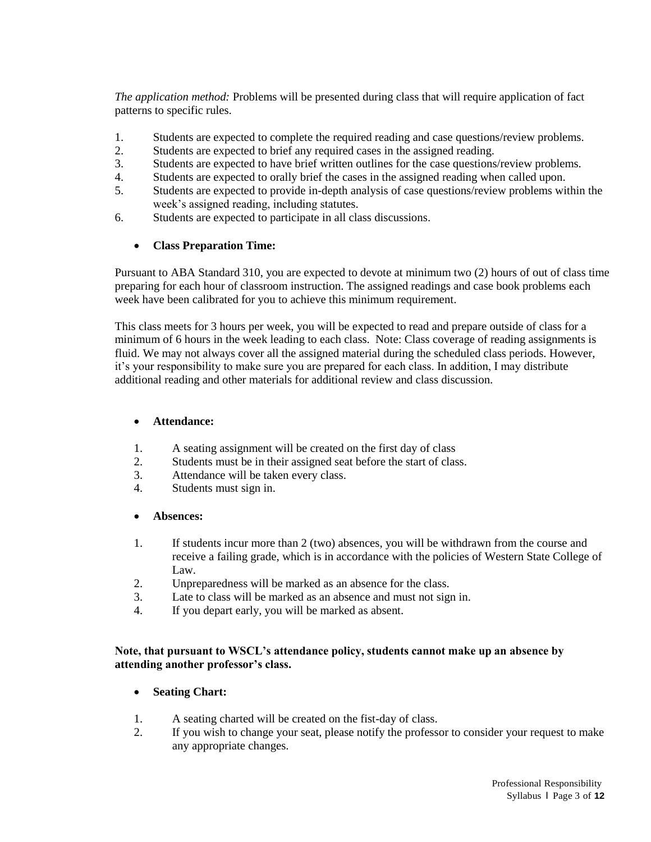*The application method:* Problems will be presented during class that will require application of fact patterns to specific rules.

- 1. Students are expected to complete the required reading and case questions/review problems.
- 2. Students are expected to brief any required cases in the assigned reading.
- 3. Students are expected to have brief written outlines for the case questions/review problems.
- 4. Students are expected to orally brief the cases in the assigned reading when called upon.
- 5. Students are expected to provide in-depth analysis of case questions/review problems within the week's assigned reading, including statutes.
- 6. Students are expected to participate in all class discussions.

### **Class Preparation Time:**

Pursuant to ABA Standard 310, you are expected to devote at minimum two (2) hours of out of class time preparing for each hour of classroom instruction. The assigned readings and case book problems each week have been calibrated for you to achieve this minimum requirement.

This class meets for 3 hours per week, you will be expected to read and prepare outside of class for a minimum of 6 hours in the week leading to each class. Note: Class coverage of reading assignments is fluid. We may not always cover all the assigned material during the scheduled class periods. However, it's your responsibility to make sure you are prepared for each class. In addition, I may distribute additional reading and other materials for additional review and class discussion.

#### **Attendance:**

- 1. A seating assignment will be created on the first day of class
- 2. Students must be in their assigned seat before the start of class.
- 3. Attendance will be taken every class.
- 4. Students must sign in.

#### **Absences:**

- 1. If students incur more than 2 (two) absences, you will be withdrawn from the course and receive a failing grade, which is in accordance with the policies of Western State College of Law.
- 2. Unpreparedness will be marked as an absence for the class.
- 3. Late to class will be marked as an absence and must not sign in.
- 4. If you depart early, you will be marked as absent.

#### **Note, that pursuant to WSCL's attendance policy, students cannot make up an absence by attending another professor's class.**

# **Seating Chart:**

- 1. A seating charted will be created on the fist-day of class.
- 2. If you wish to change your seat, please notify the professor to consider your request to make any appropriate changes.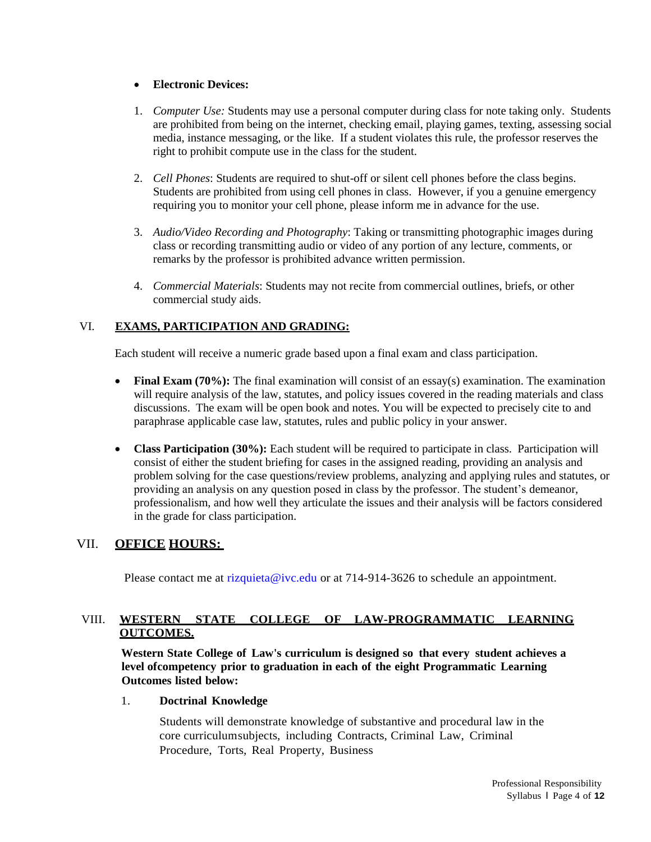# **Electronic Devices:**

- 1. *Computer Use:* Students may use a personal computer during class for note taking only. Students are prohibited from being on the internet, checking email, playing games, texting, assessing social media, instance messaging, or the like. If a student violates this rule, the professor reserves the right to prohibit compute use in the class for the student.
- 2. *Cell Phones*: Students are required to shut-off or silent cell phones before the class begins. Students are prohibited from using cell phones in class. However, if you a genuine emergency requiring you to monitor your cell phone, please inform me in advance for the use.
- 3. *Audio/Video Recording and Photography*: Taking or transmitting photographic images during class or recording transmitting audio or video of any portion of any lecture, comments, or remarks by the professor is prohibited advance written permission.
- 4. *Commercial Materials*: Students may not recite from commercial outlines, briefs, or other commercial study aids.

# VI. **EXAMS, PARTICIPATION AND GRADING:**

Each student will receive a numeric grade based upon a final exam and class participation.

- Final Exam (70%): The final examination will consist of an essay(s) examination. The examination will require analysis of the law, statutes, and policy issues covered in the reading materials and class discussions. The exam will be open book and notes. You will be expected to precisely cite to and paraphrase applicable case law, statutes, rules and public policy in your answer.
- **Class Participation (30%):** Each student will be required to participate in class. Participation will consist of either the student briefing for cases in the assigned reading, providing an analysis and problem solving for the case questions/review problems, analyzing and applying rules and statutes, or providing an analysis on any question posed in class by the professor. The student's demeanor, professionalism, and how well they articulate the issues and their analysis will be factors considered in the grade for class participation.

# VII. **OFFICE HOURS:**

Please contact me at [rizquieta@ivc.edu](mailto:rizquieta@ivc.edu) or at 714-914-3626 to schedule an appointment.

# VIII. **WESTERN STATE COLLEGE OF LAW-PROGRAMMATIC LEARNING OUTCOMES.**

**Western State College of Law's curriculum is designed so that every student achieves a level ofcompetency prior to graduation in each of the eight Programmatic Learning Outcomes listed below:**

### 1. **Doctrinal Knowledge**

Students will demonstrate knowledge of substantive and procedural law in the core curriculumsubjects, including Contracts, Criminal Law, Criminal Procedure, Torts, Real Property, Business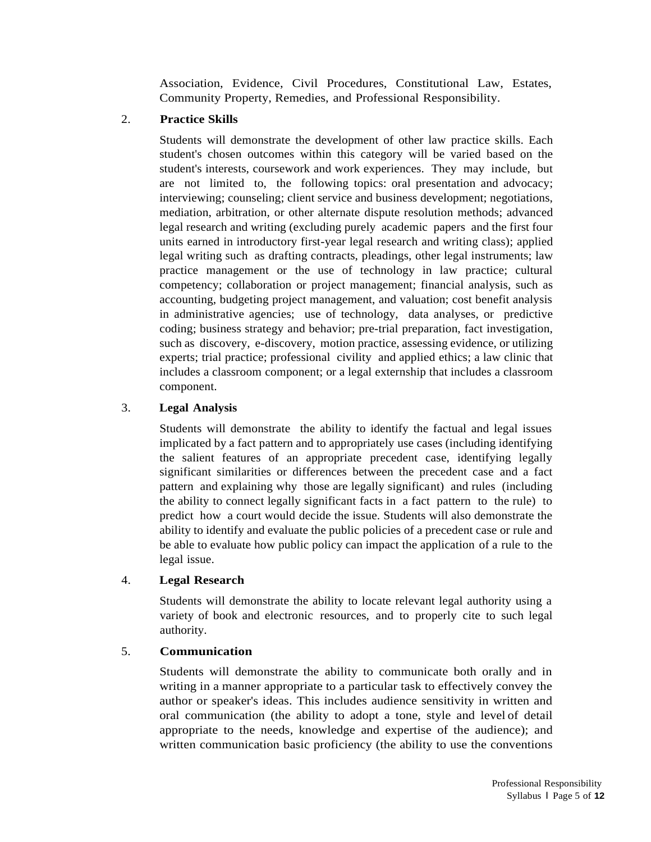Association, Evidence, Civil Procedures, Constitutional Law, Estates, Community Property, Remedies, and Professional Responsibility.

# 2. **Practice Skills**

Students will demonstrate the development of other law practice skills. Each student's chosen outcomes within this category will be varied based on the student's interests, coursework and work experiences. They may include, but are not limited to, the following topics: oral presentation and advocacy; interviewing; counseling; client service and business development; negotiations, mediation, arbitration, or other alternate dispute resolution methods; advanced legal research and writing (excluding purely academic papers and the first four units earned in introductory first-year legal research and writing class); applied legal writing such as drafting contracts, pleadings, other legal instruments; law practice management or the use of technology in law practice; cultural competency; collaboration or project management; financial analysis, such as accounting, budgeting project management, and valuation; cost benefit analysis in administrative agencies; use of technology, data analyses, or predictive coding; business strategy and behavior; pre-trial preparation, fact investigation, such as discovery, e-discovery, motion practice, assessing evidence, or utilizing experts; trial practice; professional civility and applied ethics; a law clinic that includes a classroom component; or a legal externship that includes a classroom component.

# 3. **Legal Analysis**

Students will demonstrate the ability to identify the factual and legal issues implicated by a fact pattern and to appropriately use cases (including identifying the salient features of an appropriate precedent case, identifying legally significant similarities or differences between the precedent case and a fact pattern and explaining why those are legally significant) and rules (including the ability to connect legally significant facts in a fact pattern to the rule) to predict how a court would decide the issue. Students will also demonstrate the ability to identify and evaluate the public policies of a precedent case or rule and be able to evaluate how public policy can impact the application of a rule to the legal issue.

# 4. **Legal Research**

Students will demonstrate the ability to locate relevant legal authority using a variety of book and electronic resources, and to properly cite to such legal authority.

# 5. **Communication**

Students will demonstrate the ability to communicate both orally and in writing in a manner appropriate to a particular task to effectively convey the author or speaker's ideas. This includes audience sensitivity in written and oral communication (the ability to adopt a tone, style and level of detail appropriate to the needs, knowledge and expertise of the audience); and written communication basic proficiency (the ability to use the conventions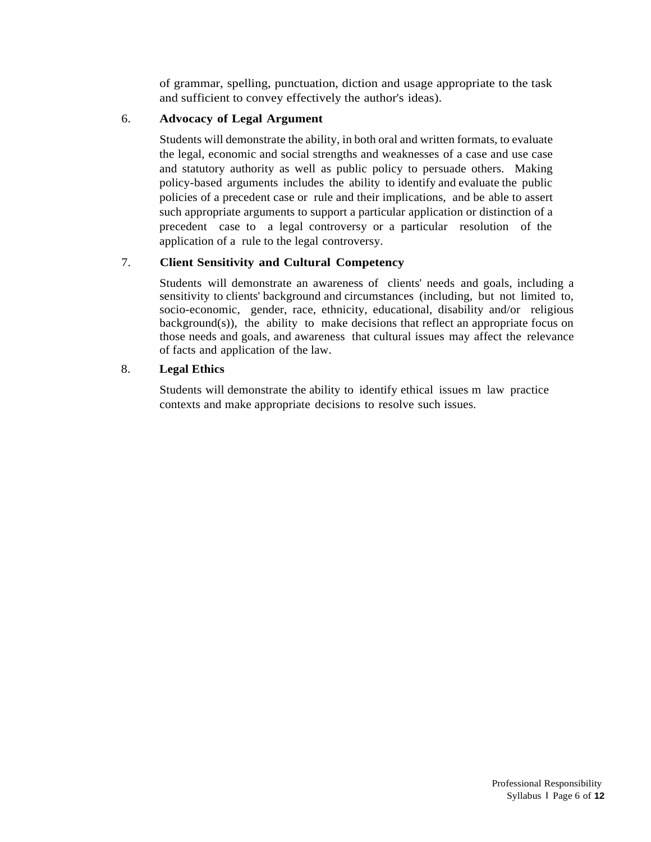of grammar, spelling, punctuation, diction and usage appropriate to the task and sufficient to convey effectively the author's ideas).

### 6. **Advocacy of Legal Argument**

Students will demonstrate the ability, in both oral and written formats, to evaluate the legal, economic and social strengths and weaknesses of a case and use case and statutory authority as well as public policy to persuade others. Making policy-based arguments includes the ability to identify and evaluate the public policies of a precedent case or rule and their implications, and be able to assert such appropriate arguments to support a particular application or distinction of a precedent case to a legal controversy or a particular resolution of the application of a rule to the legal controversy.

### 7. **Client Sensitivity and Cultural Competency**

Students will demonstrate an awareness of clients' needs and goals, including a sensitivity to clients' background and circumstances (including, but not limited to, socio-economic, gender, race, ethnicity, educational, disability and/or religious background(s)), the ability to make decisions that reflect an appropriate focus on those needs and goals, and awareness that cultural issues may affect the relevance of facts and application of the law.

### 8. **Legal Ethics**

Students will demonstrate the ability to identify ethical issues m law practice contexts and make appropriate decisions to resolve such issues.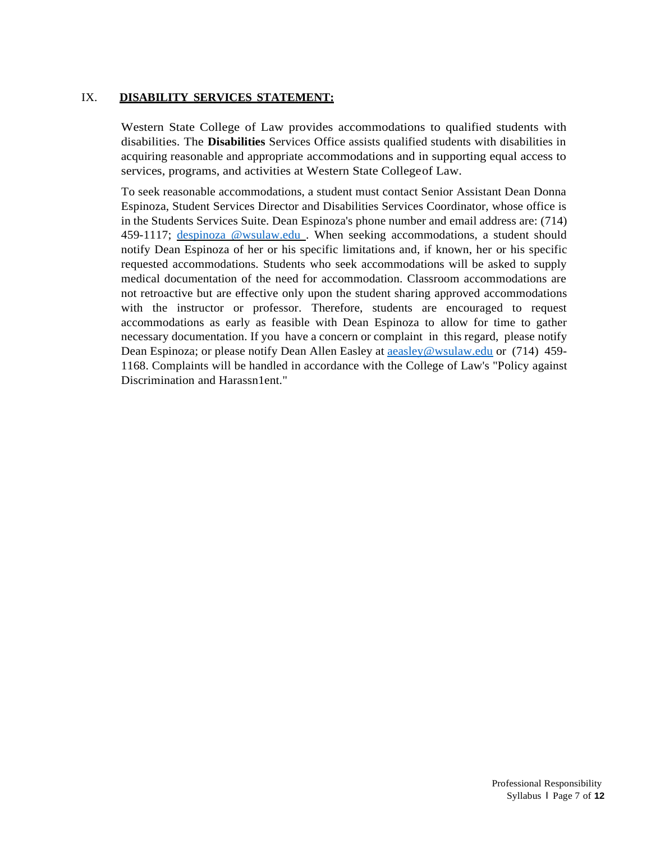### IX. **DISABILITY SERVICES STATEMENT:**

Western State College of Law provides accommodations to qualified students with disabilities. The **Disabilities** Services Office assists qualified students with disabilities in acquiring reasonable and appropriate accommodations and in supporting equal access to services, programs, and activities at Western State Collegeof Law.

To seek reasonable accommodations, a student must contact Senior Assistant Dean Donna Espinoza, Student Services Director and Disabilities Services Coordinator, whose office is in the Students Services Suite. Dean Espinoza's phone number and email address are: (714) 459-1117; [despinoza @wsulaw.edu](mailto:despinoza@wsulaw.edu). When seeking accommodations, a student should notify Dean Espinoza of her or his specific limitations and, if known, her or his specific requested accommodations. Students who seek accommodations will be asked to supply medical documentation of the need for accommodation. Classroom accommodations are not retroactive but are effective only upon the student sharing approved accommodations with the instructor or professor. Therefore, students are encouraged to request accommodations as early as feasible with Dean Espinoza to allow for time to gather necessary documentation. If you have a concern or complaint in this regard, please notify Dean Espinoza; or please notify Dean Allen Easley at **a**easley@wsulaw.edu or (714) 459-1168. Complaints will be handled in accordance with the College of Law's "Policy against Discrimination and Harassn1ent."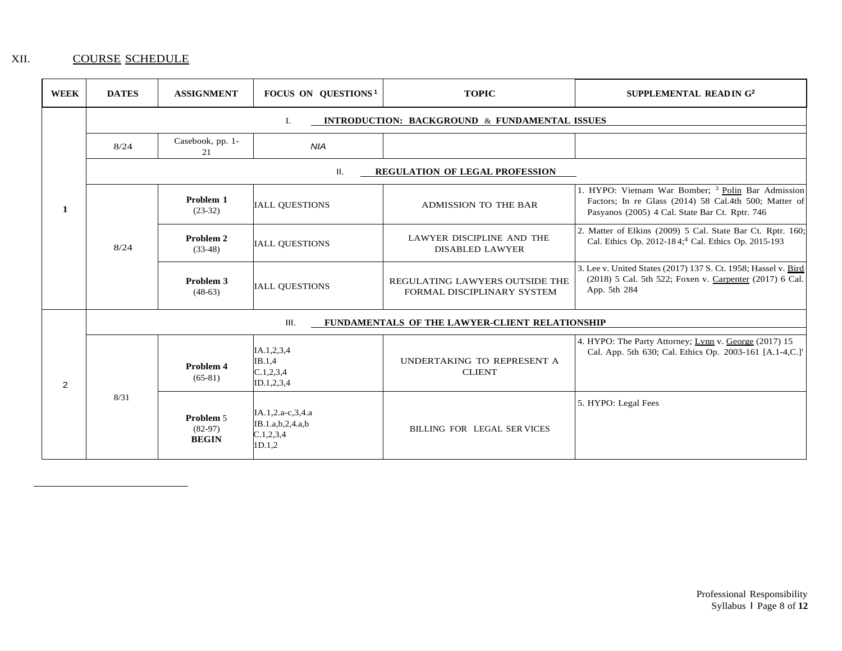# XII. COURSE SCHEDULE

| <b>WEEK</b>    | <b>DATES</b>                                           | <b>ASSIGNMENT</b>                      | <b>FOCUS ON QUESTIONS<sup>1</sup></b>                          | <b>TOPIC</b>                                                 | SUPPLEMENTAL READIN G <sup>2</sup>                                                                                                                                       |  |  |
|----------------|--------------------------------------------------------|----------------------------------------|----------------------------------------------------------------|--------------------------------------------------------------|--------------------------------------------------------------------------------------------------------------------------------------------------------------------------|--|--|
|                | INTRODUCTION: BACKGROUND & FUNDAMENTAL ISSUES<br>Ι.    |                                        |                                                                |                                                              |                                                                                                                                                                          |  |  |
|                | 8/24                                                   | Casebook, pp. 1-<br>21                 | <b>NIA</b>                                                     |                                                              |                                                                                                                                                                          |  |  |
|                | <b>REGULATION OF LEGAL PROFESSION</b><br>Ш.            |                                        |                                                                |                                                              |                                                                                                                                                                          |  |  |
| 1              | 8/24                                                   | Problem 1<br>$(23-32)$                 | <b>IALL QUESTIONS</b>                                          | ADMISSION TO THE BAR                                         | 1. HYPO: Vietnam War Bomber; <sup>3</sup> Polin Bar Admission<br>Factors; In re Glass (2014) 58 Cal.4th 500; Matter of<br>Pasyanos (2005) 4 Cal. State Bar Ct. Rptr. 746 |  |  |
|                |                                                        | Problem 2<br>$(33-48)$                 | <b>IALL OUESTIONS</b>                                          | LAWYER DISCIPLINE AND THE<br><b>DISABLED LAWYER</b>          | 2. Matter of Elkins (2009) 5 Cal. State Bar Ct. Rptr. 160;<br>Cal. Ethics Op. 2012-184; <sup>4</sup> Cal. Ethics Op. 2015-193                                            |  |  |
|                |                                                        | Problem 3<br>$(48-63)$                 | <b>IALL QUESTIONS</b>                                          | REGULATING LAWYERS OUTSIDE THE<br>FORMAL DISCIPLINARY SYSTEM | 3. Lee v. United States (2017) 137 S. Ct. 1958; Hassel v. Bird<br>(2018) 5 Cal. 5th 522; Foxen v. Carpenter (2017) 6 Cal.<br>App. 5th 284                                |  |  |
|                | III.<br>FUNDAMENTALS OF THE LAWYER-CLIENT RELATIONSHIP |                                        |                                                                |                                                              |                                                                                                                                                                          |  |  |
| $\overline{2}$ | 8/31                                                   | Problem 4<br>$(65-81)$                 | IA.1,2,3,4<br>IB.1.4<br>C.1, 2, 3, 4<br>ID.1,2,3,4             | UNDERTAKING TO REPRESENT A<br><b>CLIENT</b>                  | 4. HYPO: The Party Attorney; Lynn v. George (2017) 15<br>Cal. App. 5th 630; Cal. Ethics Op. 2003-161 [A.1-4,C.]'                                                         |  |  |
|                |                                                        | Problem 5<br>$(82-97)$<br><b>BEGIN</b> | IA.1,2.a-c,3,4.a<br>IB.1.a,b,2,4.a,b<br>C.1, 2, 3, 4<br>1D.1,2 | BILLING FOR LEGAL SER VICES                                  | 5. HYPO: Legal Fees                                                                                                                                                      |  |  |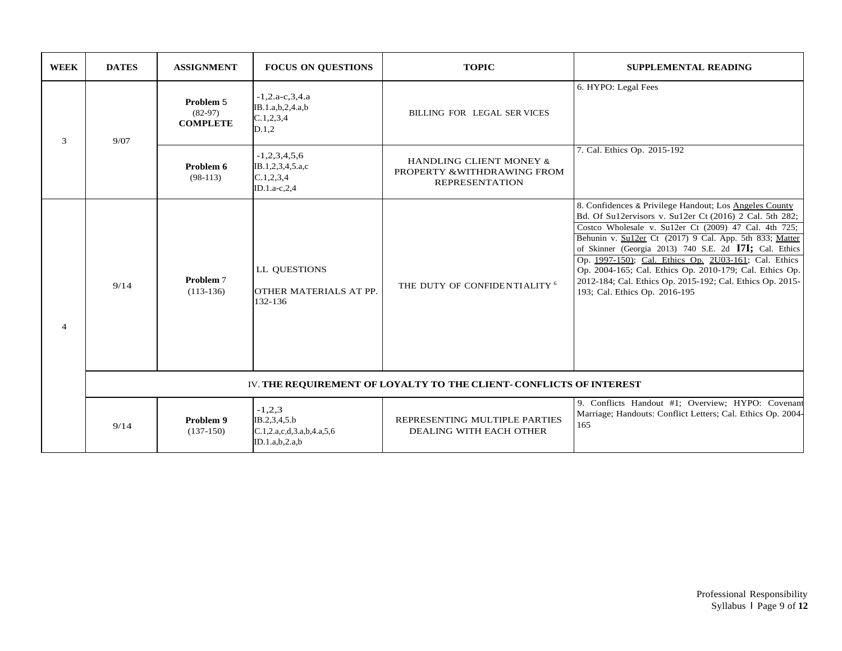| <b>WEEK</b>    | <b>DATES</b>                                                        | <b>ASSIGNMENT</b>                         | <b>FOCUS ON QUESTIONS</b>                                               | <b>TOPIC</b>                                                                               | <b>SUPPLEMENTAL READING</b>                                                                                                                                                                                                                                                                                                                                                                                                                                                                                      |  |
|----------------|---------------------------------------------------------------------|-------------------------------------------|-------------------------------------------------------------------------|--------------------------------------------------------------------------------------------|------------------------------------------------------------------------------------------------------------------------------------------------------------------------------------------------------------------------------------------------------------------------------------------------------------------------------------------------------------------------------------------------------------------------------------------------------------------------------------------------------------------|--|
| 3              | 9/07                                                                | Problem 5<br>$(82-97)$<br><b>COMPLETE</b> | $-1, 2.a-c, 3, 4.a$<br>IB.1.a,b,2,4.a,b<br>C.1, 2, 3, 4<br>D.1.2        | BILLING FOR LEGAL SER VICES                                                                | 6. HYPO: Legal Fees                                                                                                                                                                                                                                                                                                                                                                                                                                                                                              |  |
|                |                                                                     | Problem 6<br>$(98-113)$                   | $-1,2,3,4,5,6$<br>IB.1,2,3,4,5.a,c<br>C.1, 2, 3, 4<br>ID.1.a-c,2,4      | <b>HANDLING CLIENT MONEY &amp;</b><br>PROPERTY & WITHDRAWING FROM<br><b>REPRESENTATION</b> | 7. Cal. Ethics Op. 2015-192                                                                                                                                                                                                                                                                                                                                                                                                                                                                                      |  |
| $\overline{4}$ | 9/14                                                                | Problem 7<br>$(113-136)$                  | LL QUESTIONS<br>OTHER MATERIALS AT PP.<br>132-136                       | THE DUTY OF CONFIDENTIALITY <sup>6</sup>                                                   | 8. Confidences & Privilege Handout; Los Angeles County<br>Bd. Of Su12ervisors v. Su12er Ct (2016) 2 Cal. 5th 282;<br>Costco Wholesale v. Su12er Ct (2009) 47 Cal. 4th 725;<br>Behunin v. Su12er Ct (2017) 9 Cal. App. 5th 833; Matter<br>of Skinner (Georgia 2013) 740 S.E. 2d I7I; Cal. Ethics<br>Op. 1997-150); Cal. Ethics Op. 2U03-161; Cal. Ethics<br>Op. 2004-165; Cal. Ethics Op. 2010-179; Cal. Ethics Op.<br>2012-184; Cal. Ethics Op. 2015-192; Cal. Ethics Op. 2015-<br>193; Cal. Ethics Op. 2016-195 |  |
|                | IV. THE REQUIREMENT OF LOYALTY TO THE CLIENT- CONFLICTS OF INTEREST |                                           |                                                                         |                                                                                            |                                                                                                                                                                                                                                                                                                                                                                                                                                                                                                                  |  |
|                | 9/14                                                                | Problem 9<br>$(137-150)$                  | $-1,2,3$<br>IB.2,3,4,5.b<br>C.1,2.a,c,d,3.a,b,4.a,5,6<br>ID.1.a,b,2.a,b | REPRESENTING MULTIPLE PARTIES<br>DEALING WITH EACH OTHER                                   | 9. Conflicts Handout #1; Overview; HYPO: Covenant<br>Marriage; Handouts: Conflict Letters; Cal. Ethics Op. 2004-<br>165                                                                                                                                                                                                                                                                                                                                                                                          |  |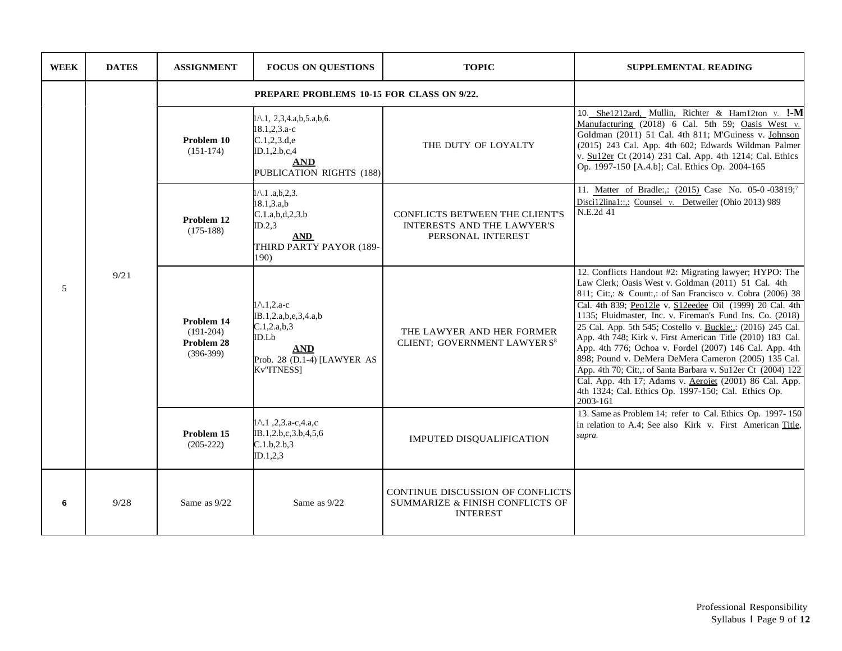| <b>WEEK</b> | <b>DATES</b> | <b>ASSIGNMENT</b>                                      | <b>FOCUS ON QUESTIONS</b>                                                                                                          | <b>TOPIC</b>                                                                             | <b>SUPPLEMENTAL READING</b>                                                                                                                                                                                                                                                                                                                                                                                                                                                                                                                                                                                                                                                                                                                |
|-------------|--------------|--------------------------------------------------------|------------------------------------------------------------------------------------------------------------------------------------|------------------------------------------------------------------------------------------|--------------------------------------------------------------------------------------------------------------------------------------------------------------------------------------------------------------------------------------------------------------------------------------------------------------------------------------------------------------------------------------------------------------------------------------------------------------------------------------------------------------------------------------------------------------------------------------------------------------------------------------------------------------------------------------------------------------------------------------------|
|             | 9/21         | <b>PREPARE PROBLEMS 10-15 FOR CLASS ON 9/22.</b>       |                                                                                                                                    |                                                                                          |                                                                                                                                                                                                                                                                                                                                                                                                                                                                                                                                                                                                                                                                                                                                            |
| 5           |              | Problem 10<br>$(151-174)$                              | $1 \wedge 1$ , 2,3,4.a,b,5.a,b,6.<br>$18.1, 2, 3.a-c$<br>C.1, 2, 3. d.e<br>ID.1,2.b,c,4<br><b>AND</b><br>PUBLICATION RIGHTS (188)  | THE DUTY OF LOYALTY                                                                      | 10. She1212ard, Mullin, Richter & Ham12ton v. I-M<br>Manufacturing (2018) 6 Cal. 5th 59; Oasis West v.<br>Goldman (2011) 51 Cal. 4th 811; M'Guiness v. Johnson<br>(2015) 243 Cal. App. 4th 602; Edwards Wildman Palmer<br>v. Su12er Ct (2014) 231 Cal. App. 4th 1214; Cal. Ethics<br>Op. 1997-150 [A.4.b]; Cal. Ethics Op. 2004-165                                                                                                                                                                                                                                                                                                                                                                                                        |
|             |              | Problem 12<br>$(175-188)$                              | $1 \wedge 1$ .a,b,2,3.<br>18.1.3.a.b<br>C.1.a,b,d,2,3.b<br>ID.2.3<br>$\bf{AND}$<br>THIRD PARTY PAYOR (189-<br>190)                 | <b>CONFLICTS BETWEEN THE CLIENT'S</b><br>INTERESTS AND THE LAWYER'S<br>PERSONAL INTEREST | 11. Matter of Bradle:,: (2015) Case No. 05-0-03819;7<br>Disci12lina1::.: Counsel v. Detweiler (Ohio 2013) 989<br>N.E.2d 41                                                                                                                                                                                                                                                                                                                                                                                                                                                                                                                                                                                                                 |
|             |              | Problem 14<br>$(191-204)$<br>Problem 28<br>$(396-399)$ | $1 \wedge 1, 2$ .a-c<br>IB.1,2.a,b,e,3,4.a,b<br>C.1, 2.a, b, 3<br>ID.Lb<br><b>AND</b><br>Prob. 28 (D.1-4) [LAWYER AS<br>Kv"ITNESS1 | THE LAWYER AND HER FORMER<br>CLIENT; GOVERNMENT LAWYER S <sup>8</sup>                    | 12. Conflicts Handout #2: Migrating lawyer; HYPO: The<br>Law Clerk; Oasis West v. Goldman (2011) 51 Cal. 4th<br>811; Cit.; & Count.; of San Francisco v. Cobra (2006) 38<br>Cal. 4th 839; Peo12le v. S12eedee Oil (1999) 20 Cal. 4th<br>1135; Fluidmaster, Inc. v. Fireman's Fund Ins. Co. (2018)<br>25 Cal. App. 5th 545; Costello v. Buckle: (2016) 245 Cal.<br>App. 4th 748; Kirk v. First American Title (2010) 183 Cal.<br>App. 4th 776; Ochoa v. Fordel (2007) 146 Cal. App. 4th<br>898; Pound v. DeMera DeMera Cameron (2005) 135 Cal.<br>App. 4th 70; Cit.,: of Santa Barbara v. Su12er Ct (2004) 122<br>Cal. App. 4th 17; Adams v. Aerojet (2001) 86 Cal. App.<br>4th 1324; Cal. Ethics Op. 1997-150; Cal. Ethics Op.<br>2003-161 |
|             |              | Problem 15<br>$(205-222)$                              | $1 \wedge 1$ , 2, 3.a-c, 4.a,c<br>IB.1,2.b,c,3.b,4,5,6<br>C.1.b.2.b.3<br>ID.1, 2, 3                                                | IMPUTED DISQUALIFICATION                                                                 | 13. Same as Problem 14; refer to Cal. Ethics Op. 1997-150<br>in relation to A.4; See also Kirk v. First American Title,<br>supra.                                                                                                                                                                                                                                                                                                                                                                                                                                                                                                                                                                                                          |
| 6           | 9/28         | Same as 9/22                                           | Same as 9/22                                                                                                                       | CONTINUE DISCUSSION OF CONFLICTS<br>SUMMARIZE & FINISH CONFLICTS OF<br><b>INTEREST</b>   |                                                                                                                                                                                                                                                                                                                                                                                                                                                                                                                                                                                                                                                                                                                                            |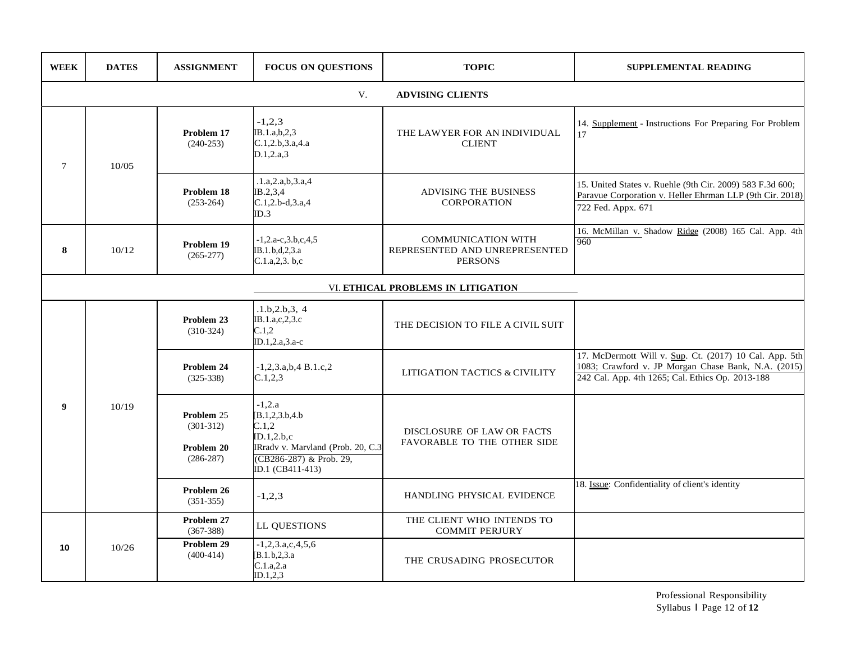| <b>WEEK</b> | <b>DATES</b>                       | <b>ASSIGNMENT</b>                                      | <b>FOCUS ON QUESTIONS</b>                                                                                                               | <b>TOPIC</b>                                                                 | SUPPLEMENTAL READING                                                                                                                                              |  |  |  |
|-------------|------------------------------------|--------------------------------------------------------|-----------------------------------------------------------------------------------------------------------------------------------------|------------------------------------------------------------------------------|-------------------------------------------------------------------------------------------------------------------------------------------------------------------|--|--|--|
|             | V.<br><b>ADVISING CLIENTS</b>      |                                                        |                                                                                                                                         |                                                                              |                                                                                                                                                                   |  |  |  |
| $\tau$      | 10/05                              | Problem 17<br>$(240-253)$                              | $-1,2,3$<br>IB.1.a,b,2,3<br>C.1,2.b,3.a,4.a<br>D.1, 2.a.3                                                                               | THE LAWYER FOR AN INDIVIDUAL<br><b>CLIENT</b>                                | 14. Supplement - Instructions For Preparing For Problem<br>17                                                                                                     |  |  |  |
|             |                                    | Problem 18<br>$(253-264)$                              | .1.a, 2.a, b, 3.a, 4<br>IB.2,3,4<br>$C.1, 2.b-d, 3.a, 4$<br>ID.3                                                                        | <b>ADVISING THE BUSINESS</b><br><b>CORPORATION</b>                           | 15. United States v. Ruehle (9th Cir. 2009) 583 F.3d 600;<br>Paravue Corporation v. Heller Ehrman LLP (9th Cir. 2018)<br>722 Fed. Appx. 671                       |  |  |  |
| 8           | 10/12                              | Problem 19<br>$(265 - 277)$                            | $-1, 2.a-c, 3.b, c, 4, 5$<br>IB.1.b,d,2,3.a<br>C.1.a.2.3.b.c                                                                            | <b>COMMUNICATION WITH</b><br>REPRESENTED AND UNREPRESENTED<br><b>PERSONS</b> | 16. McMillan v. Shadow Ridge (2008) 165 Cal. App. 4th<br>960                                                                                                      |  |  |  |
|             | VI. ETHICAL PROBLEMS IN LITIGATION |                                                        |                                                                                                                                         |                                                                              |                                                                                                                                                                   |  |  |  |
| 9           | 10/19                              | Problem 23<br>$(310-324)$                              | .1.b, 2.b, 3, 4<br>IB.1.a,c,2,3.c<br>C.1,2<br>ID.1,2.a,3.a-c                                                                            | THE DECISION TO FILE A CIVIL SUIT                                            |                                                                                                                                                                   |  |  |  |
|             |                                    | Problem 24<br>$(325-338)$                              | $-1,2,3.a,b,4 B.1.c,2$<br>C.1, 2, 3                                                                                                     | LITIGATION TACTICS & CIVILITY                                                | 17. McDermott Will v. Sup. Ct. (2017) 10 Cal. App. 5th<br>1083; Crawford v. JP Morgan Chase Bank, N.A. (2015)<br>242 Cal. App. 4th 1265; Cal. Ethics Op. 2013-188 |  |  |  |
|             |                                    | Problem 25<br>$(301-312)$<br>Problem 20<br>$(286-287)$ | $-1,2.a$<br>[B.1,2,3.b,4.b]<br>C.1,2<br>ID.1, 2.b.c<br>IRradv v. Marvland (Prob. 20, C.3<br>(CB286-287) & Prob. 29,<br>ID.1 (CB411-413) | DISCLOSURE OF LAW OR FACTS<br>FAVORABLE TO THE OTHER SIDE                    |                                                                                                                                                                   |  |  |  |
|             |                                    | Problem 26<br>$(351-355)$                              | $-1,2,3$                                                                                                                                | HANDLING PHYSICAL EVIDENCE                                                   | 18. Issue: Confidentiality of client's identity                                                                                                                   |  |  |  |
|             |                                    | Problem 27<br>$(367 - 388)$                            | LL QUESTIONS                                                                                                                            | THE CLIENT WHO INTENDS TO<br><b>COMMIT PERJURY</b>                           |                                                                                                                                                                   |  |  |  |
| 10          | 10/26                              | Problem 29<br>$(400-414)$                              | $-1,2,3.a,c,4,5,6$<br>[B.1.b, 2, 3.a]<br>C.1.a.2.a<br>ID.1,2,3                                                                          | THE CRUSADING PROSECUTOR                                                     |                                                                                                                                                                   |  |  |  |

Professional Responsibility Syllabus I Page 12 of **12**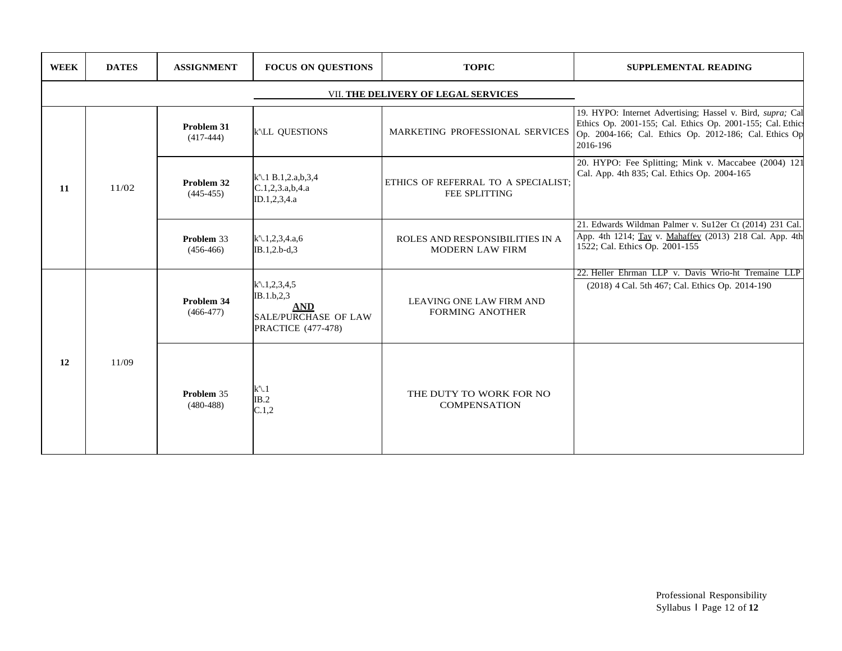| <b>WEEK</b> | <b>DATES</b>                        | <b>ASSIGNMENT</b>           | <b>FOCUS ON QUESTIONS</b>                                                                                         | <b>TOPIC</b>                                                | <b>SUPPLEMENTAL READING</b>                                                                                                                                                                    |  |  |  |
|-------------|-------------------------------------|-----------------------------|-------------------------------------------------------------------------------------------------------------------|-------------------------------------------------------------|------------------------------------------------------------------------------------------------------------------------------------------------------------------------------------------------|--|--|--|
|             | VII. THE DELIVERY OF LEGAL SERVICES |                             |                                                                                                                   |                                                             |                                                                                                                                                                                                |  |  |  |
| 11          | 11/02                               | Problem 31<br>$(417-444)$   | k'\LL QUESTIONS                                                                                                   | MARKETING PROFESSIONAL SERVICES                             | 19. HYPO: Internet Advertising; Hassel v. Bird, supra; Cal<br>Ethics Op. 2001-155; Cal. Ethics Op. 2001-155; Cal. Ethics<br>Op. 2004-166; Cal. Ethics Op. 2012-186; Cal. Ethics Op<br>2016-196 |  |  |  |
|             |                                     | Problem 32<br>$(445-455)$   | $k$ '\.1 B.1,2.a,b,3,4<br>C.1, 2, 3.a, b, 4.a<br>ID.1,2,3,4.a                                                     | ETHICS OF REFERRAL TO A SPECIALIST;<br><b>FEE SPLITTING</b> | 20. HYPO: Fee Splitting; Mink v. Maccabee (2004) 121<br>Cal. App. 4th 835; Cal. Ethics Op. 2004-165                                                                                            |  |  |  |
|             |                                     | Problem 33<br>$(456-466)$   | $k'\lambda$ .1,2,3,4.a,6<br>IB.1,2.b-d,3                                                                          | ROLES AND RESPONSIBILITIES IN A<br><b>MODERN LAW FIRM</b>   | 21. Edwards Wildman Palmer v. Su12er Ct (2014) 231 Cal.<br>App. 4th 1214; Tay v. Mahaffey (2013) 218 Cal. App. 4th<br>1522; Cal. Ethics Op. 2001-155                                           |  |  |  |
| 12          | 11/09                               | Problem 34<br>$(466-477)$   | $k'\rightarrow 1,2,3,4,5$<br>IB.1.b.2.3<br><b>AND</b><br><b>SALE/PURCHASE OF LAW</b><br><b>PRACTICE</b> (477-478) | <b>LEAVING ONE LAW FIRM AND</b><br><b>FORMING ANOTHER</b>   | 22. Heller Ehrman LLP v. Davis Wrio-ht Tremaine LLP<br>(2018) 4 Cal. 5th 467; Cal. Ethics Op. 2014-190                                                                                         |  |  |  |
|             |                                     | Problem 35<br>$(480 - 488)$ | $k\backslash 1$<br>IB.2<br>C.1,2                                                                                  | THE DUTY TO WORK FOR NO<br><b>COMPENSATION</b>              |                                                                                                                                                                                                |  |  |  |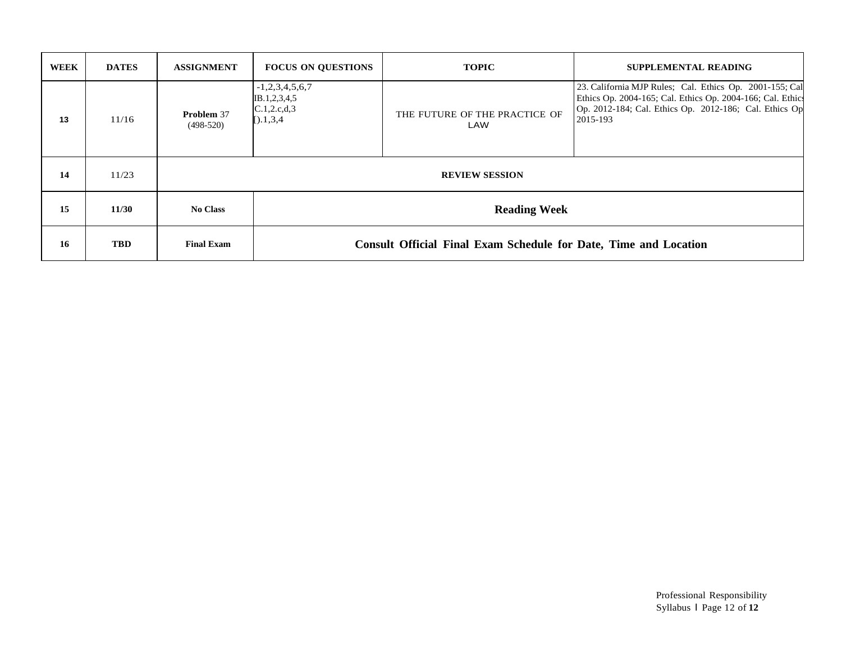| <b>WEEK</b> | <b>DATES</b> | <b>ASSIGNMENT</b>                | <b>FOCUS ON QUESTIONS</b>                                               | <b>TOPIC</b>                         | <b>SUPPLEMENTAL READING</b>                                                                                                                                                                 |
|-------------|--------------|----------------------------------|-------------------------------------------------------------------------|--------------------------------------|---------------------------------------------------------------------------------------------------------------------------------------------------------------------------------------------|
| 13          | 11/16        | <b>Problem 37</b><br>$(498-520)$ | $-1,2,3,4,5,6,7$<br>IB.1,2,3,4,5<br>C.1, 2.c.d.3<br>$[$ .1,3,4          | THE FUTURE OF THE PRACTICE OF<br>LAW | 23. California MJP Rules; Cal. Ethics Op. 2001-155; Cal<br>Ethics Op. 2004-165; Cal. Ethics Op. 2004-166; Cal. Ethics<br>Op. 2012-184; Cal. Ethics Op. 2012-186; Cal. Ethics Op<br>2015-193 |
| 14          | 11/23        | <b>REVIEW SESSION</b>            |                                                                         |                                      |                                                                                                                                                                                             |
| 15          | 11/30        | <b>No Class</b>                  | <b>Reading Week</b>                                                     |                                      |                                                                                                                                                                                             |
| 16          | <b>TBD</b>   | <b>Final Exam</b>                | <b>Consult Official Final Exam Schedule for Date, Time and Location</b> |                                      |                                                                                                                                                                                             |